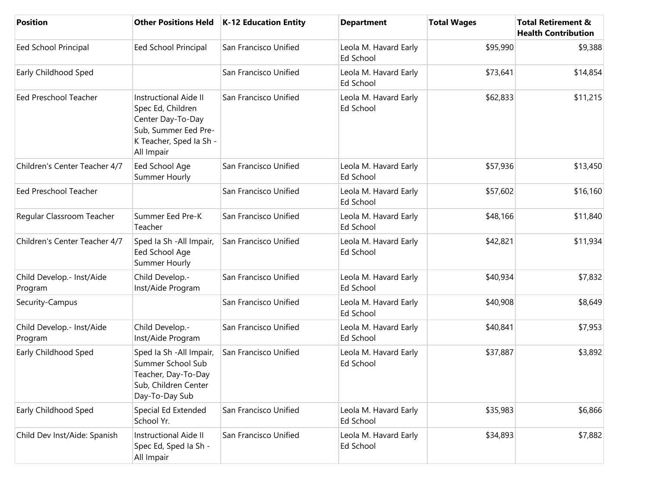| <b>Position</b>                      | <b>Other Positions Held</b>                                                                                                             | <b>K-12 Education Entity</b> | <b>Department</b>                         | <b>Total Wages</b> | <b>Total Retirement &amp;</b><br><b>Health Contribution</b> |
|--------------------------------------|-----------------------------------------------------------------------------------------------------------------------------------------|------------------------------|-------------------------------------------|--------------------|-------------------------------------------------------------|
| Eed School Principal                 | Eed School Principal                                                                                                                    | San Francisco Unified        | Leola M. Havard Early<br>Ed School        | \$95,990           | \$9,388                                                     |
| Early Childhood Sped                 |                                                                                                                                         | San Francisco Unified        | Leola M. Havard Early<br>Ed School        | \$73,641           | \$14,854                                                    |
| <b>Eed Preschool Teacher</b>         | <b>Instructional Aide II</b><br>Spec Ed, Children<br>Center Day-To-Day<br>Sub, Summer Eed Pre-<br>K Teacher, Sped Ia Sh -<br>All Impair | San Francisco Unified        | Leola M. Havard Early<br><b>Ed School</b> | \$62,833           | \$11,215                                                    |
| Children's Center Teacher 4/7        | Eed School Age<br>Summer Hourly                                                                                                         | San Francisco Unified        | Leola M. Havard Early<br><b>Ed School</b> | \$57,936           | \$13,450                                                    |
| <b>Eed Preschool Teacher</b>         |                                                                                                                                         | San Francisco Unified        | Leola M. Havard Early<br>Ed School        | \$57,602           | \$16,160                                                    |
| Regular Classroom Teacher            | Summer Eed Pre-K<br>Teacher                                                                                                             | San Francisco Unified        | Leola M. Havard Early<br><b>Ed School</b> | \$48,166           | \$11,840                                                    |
| Children's Center Teacher 4/7        | Sped la Sh - All Impair,<br>Eed School Age<br>Summer Hourly                                                                             | San Francisco Unified        | Leola M. Havard Early<br>Ed School        | \$42,821           | \$11,934                                                    |
| Child Develop.- Inst/Aide<br>Program | Child Develop.-<br>Inst/Aide Program                                                                                                    | San Francisco Unified        | Leola M. Havard Early<br>Ed School        | \$40,934           | \$7,832                                                     |
| Security-Campus                      |                                                                                                                                         | San Francisco Unified        | Leola M. Havard Early<br>Ed School        | \$40,908           | \$8,649                                                     |
| Child Develop.- Inst/Aide<br>Program | Child Develop.-<br>Inst/Aide Program                                                                                                    | San Francisco Unified        | Leola M. Havard Early<br>Ed School        | \$40,841           | \$7,953                                                     |
| Early Childhood Sped                 | Sped Ia Sh - All Impair,<br>Summer School Sub<br>Teacher, Day-To-Day<br>Sub, Children Center<br>Day-To-Day Sub                          | San Francisco Unified        | Leola M. Havard Early<br><b>Ed School</b> | \$37,887           | \$3,892                                                     |
| Early Childhood Sped                 | Special Ed Extended<br>School Yr.                                                                                                       | San Francisco Unified        | Leola M. Havard Early<br>Ed School        | \$35,983           | \$6,866                                                     |
| Child Dev Inst/Aide: Spanish         | Instructional Aide II<br>Spec Ed, Sped Ia Sh -<br>All Impair                                                                            | San Francisco Unified        | Leola M. Havard Early<br>Ed School        | \$34,893           | \$7,882                                                     |